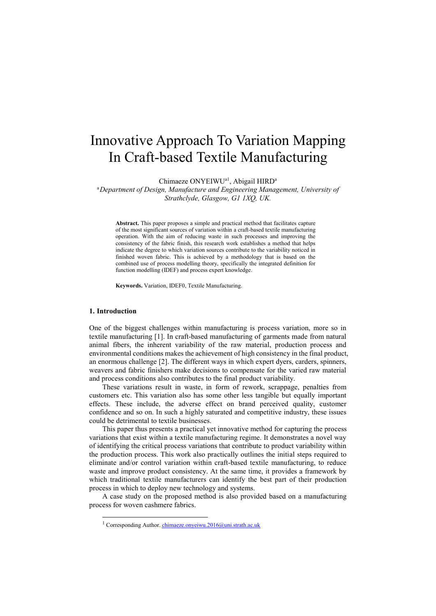# Innovative Approach To Variation Mapping In Craft-based Textile Manufacturing

Chimaeze ONYEIWU<sup>a1</sup>, Abigail HIRD<sup>a</sup>

<sup>a</sup>*Department of Design, Manufacture and Engineering Management, University of Strathclyde, Glasgow, G1 1XQ, UK.*

**Abstract.** This paper proposes a simple and practical method that facilitates capture of the most significant sources of variation within a craft-based textile manufacturing operation. With the aim of reducing waste in such processes and improving the consistency of the fabric finish, this research work establishes a method that helps indicate the degree to which variation sources contribute to the variability noticed in finished woven fabric. This is achieved by a methodology that is based on the combined use of process modelling theory, specifically the integrated definition for function modelling (IDEF) and process expert knowledge.

**Keywords.** Variation, IDEF0, Textile Manufacturing.

#### **1. Introduction**

1

One of the biggest challenges within manufacturing is process variation, more so in textile manufacturing [1]. In craft-based manufacturing of garments made from natural animal fibers, the inherent variability of the raw material, production process and environmental conditions makes the achievement of high consistency in the final product, an enormous challenge [2]. The different ways in which expert dyers, carders, spinners, weavers and fabric finishers make decisions to compensate for the varied raw material and process conditions also contributes to the final product variability.

These variations result in waste, in form of rework, scrappage, penalties from customers etc. This variation also has some other less tangible but equally important effects. These include, the adverse effect on brand perceived quality, customer confidence and so on. In such a highly saturated and competitive industry, these issues could be detrimental to textile businesses.

This paper thus presents a practical yet innovative method for capturing the process variations that exist within a textile manufacturing regime. It demonstrates a novel way of identifying the critical process variations that contribute to product variability within the production process. This work also practically outlines the initial steps required to eliminate and/or control variation within craft-based textile manufacturing, to reduce waste and improve product consistency. At the same time, it provides a framework by which traditional textile manufacturers can identify the best part of their production process in which to deploy new technology and systems.

A case study on the proposed method is also provided based on a manufacturing process for woven cashmere fabrics.

<sup>&</sup>lt;sup>1</sup> Corresponding Author[. chimaeze.onyeiwu.2016@uni.strath.ac.uk](mailto:chimaeze.onyeiwu.2016@uni.strath.ac.uk)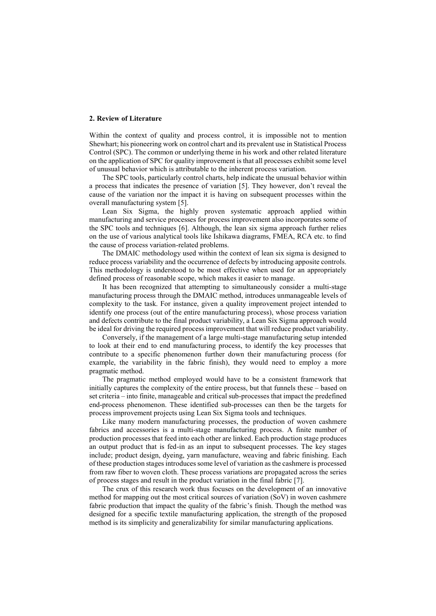## **2. Review of Literature**

Within the context of quality and process control, it is impossible not to mention Shewhart; his pioneering work on control chart and its prevalent use in Statistical Process Control (SPC). The common or underlying theme in his work and other related literature on the application of SPC for quality improvement is that all processes exhibit some level of unusual behavior which is attributable to the inherent process variation.

The SPC tools, particularly control charts, help indicate the unusual behavior within a process that indicates the presence of variation [5]. They however, don't reveal the cause of the variation nor the impact it is having on subsequent processes within the overall manufacturing system [5].

Lean Six Sigma, the highly proven systematic approach applied within manufacturing and service processes for process improvement also incorporates some of the SPC tools and techniques [6]. Although, the lean six sigma approach further relies on the use of various analytical tools like Ishikawa diagrams, FMEA, RCA etc. to find the cause of process variation-related problems.

The DMAIC methodology used within the context of lean six sigma is designed to reduce process variability and the occurrence of defects by introducing apposite controls. This methodology is understood to be most effective when used for an appropriately defined process of reasonable scope, which makes it easier to manage.

It has been recognized that attempting to simultaneously consider a multi-stage manufacturing process through the DMAIC method, introduces unmanageable levels of complexity to the task. For instance, given a quality improvement project intended to identify one process (out of the entire manufacturing process), whose process variation and defects contribute to the final product variability, a Lean Six Sigma approach would be ideal for driving the required process improvement that will reduce product variability.

Conversely, if the management of a large multi-stage manufacturing setup intended to look at their end to end manufacturing process, to identify the key processes that contribute to a specific phenomenon further down their manufacturing process (for example, the variability in the fabric finish), they would need to employ a more pragmatic method.

The pragmatic method employed would have to be a consistent framework that initially captures the complexity of the entire process, but that funnels these – based on set criteria – into finite, manageable and critical sub-processes that impact the predefined end-process phenomenon. These identified sub-processes can then be the targets for process improvement projects using Lean Six Sigma tools and techniques.

Like many modern manufacturing processes, the production of woven cashmere fabrics and accessories is a multi-stage manufacturing process. A finite number of production processes that feed into each other are linked. Each production stage produces an output product that is fed-in as an input to subsequent processes. The key stages include; product design, dyeing, yarn manufacture, weaving and fabric finishing. Each of these production stages introduces some level of variation as the cashmere is processed from raw fiber to woven cloth. These process variations are propagated across the series of process stages and result in the product variation in the final fabric [7].

The crux of this research work thus focuses on the development of an innovative method for mapping out the most critical sources of variation (SoV) in woven cashmere fabric production that impact the quality of the fabric's finish. Though the method was designed for a specific textile manufacturing application, the strength of the proposed method is its simplicity and generalizability for similar manufacturing applications.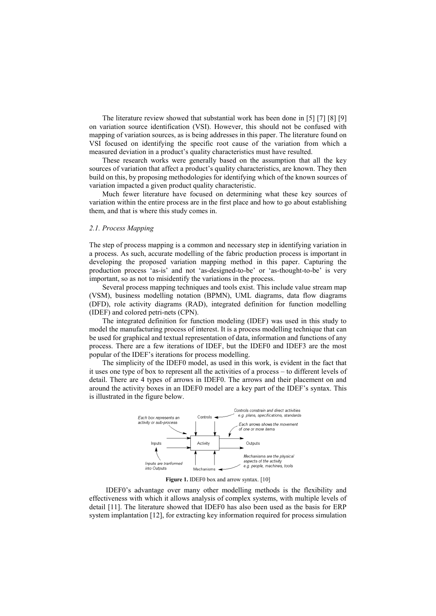The literature review showed that substantial work has been done in [5] [7] [8] [9] on variation source identification (VSI). However, this should not be confused with mapping of variation sources, as is being addresses in this paper. The literature found on VSI focused on identifying the specific root cause of the variation from which a measured deviation in a product's quality characteristics must have resulted.

These research works were generally based on the assumption that all the key sources of variation that affect a product's quality characteristics, are known. They then build on this, by proposing methodologies for identifying which of the known sources of variation impacted a given product quality characteristic.

Much fewer literature have focused on determining what these key sources of variation within the entire process are in the first place and how to go about establishing them, and that is where this study comes in.

## *2.1. Process Mapping*

The step of process mapping is a common and necessary step in identifying variation in a process. As such, accurate modelling of the fabric production process is important in developing the proposed variation mapping method in this paper. Capturing the production process 'as-is' and not 'as-designed-to-be' or 'as-thought-to-be' is very important, so as not to misidentify the variations in the process.

Several process mapping techniques and tools exist. This include value stream map (VSM), business modelling notation (BPMN), UML diagrams, data flow diagrams (DFD), role activity diagrams (RAD), integrated definition for function modelling (IDEF) and colored petri-nets (CPN).

The integrated definition for function modeling (IDEF) was used in this study to model the manufacturing process of interest. It is a process modelling technique that can be used for graphical and textual representation of data, information and functions of any process. There are a few iterations of IDEF, but the IDEF0 and IDEF3 are the most popular of the IDEF's iterations for process modelling.

The simplicity of the IDEF0 model, as used in this work, is evident in the fact that it uses one type of box to represent all the activities of a process – to different levels of detail. There are 4 types of arrows in IDEF0. The arrows and their placement on and around the activity boxes in an IDEF0 model are a key part of the IDEF's syntax. This is illustrated in the figure below.



**Figure 1.** IDEF0 box and arrow syntax. [10]

IDEF0's advantage over many other modelling methods is the flexibility and effectiveness with which it allows analysis of complex systems, with multiple levels of detail [11]. The literature showed that IDEF0 has also been used as the basis for ERP system implantation [12], for extracting key information required for process simulation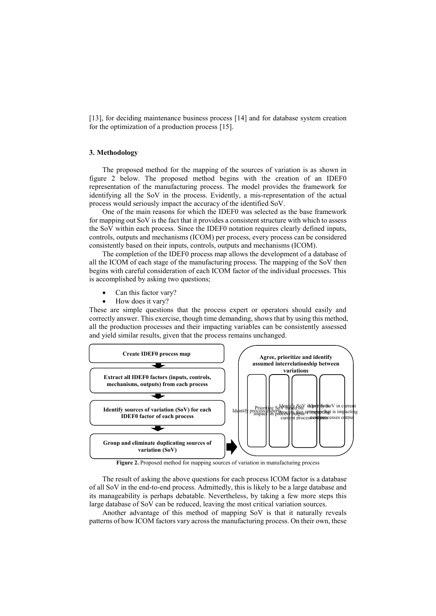[13], for deciding maintenance business process [14] and for database system creation for the optimization of a production process [15].

# **3. Methodology**

The proposed method for the mapping of the sources of variation is as shown in figure 2 below. The proposed method begins with the creation of an IDEF0 representation of the manufacturing process. The model provides the framework for identifying all the SoV in the process. Evidently, a mis-representation of the actual process would seriously impact the accuracy of the identified SoV.

One of the main reasons for which the IDEF0 was selected as the base framework for mapping out SoV is the fact that it provides a consistent structure with which to assess the SoV within each process. Since the IDEF0 notation requires clearly defined inputs, controls, outputs and mechanisms (ICOM) per process, every process can be considered consistently based on their inputs, controls, outputs and mechanisms (ICOM).

The completion of the IDEF0 process map allows the development of a database of all the ICOM of each stage of the manufacturing process. The mapping of the SoV then begins with careful consideration of each ICOM factor of the individual processes. This is accomplished by asking two questions;

- Can this factor vary?
- How does it vary?

These are simple questions that the process expert or operators should easily and correctly answer. This exercise, though time demanding, shows that by using this method, all the production processes and their impacting variables can be consistently assessed and yield similar results, given that the process remains unchanged.



**Figure 2.** Proposed method for mapping sources of variation in manufacturing process

The result of asking the above questions for each process ICOM factor is a database of all SoV in the end-to-end process. Admittedly, this is likely to be a large database and its manageability is perhaps debatable. Nevertheless, by taking a few more steps this large database of SoV can be reduced, leaving the most critical variation sources.

Another advantage of this method of mapping SoV is that it naturally reveals patterns of how ICOM factors vary across the manufacturing process. On their own, these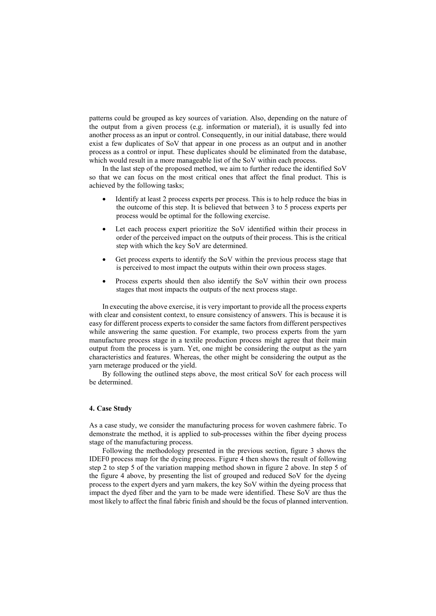patterns could be grouped as key sources of variation. Also, depending on the nature of the output from a given process (e.g. information or material), it is usually fed into another process as an input or control. Consequently, in our initial database, there would exist a few duplicates of SoV that appear in one process as an output and in another process as a control or input. These duplicates should be eliminated from the database, which would result in a more manageable list of the SoV within each process.

In the last step of the proposed method, we aim to further reduce the identified SoV so that we can focus on the most critical ones that affect the final product. This is achieved by the following tasks;

- Identify at least 2 process experts per process. This is to help reduce the bias in the outcome of this step. It is believed that between 3 to 5 process experts per process would be optimal for the following exercise.
- Let each process expert prioritize the SoV identified within their process in order of the perceived impact on the outputs of their process. This is the critical step with which the key SoV are determined.
- Get process experts to identify the SoV within the previous process stage that is perceived to most impact the outputs within their own process stages.
- Process experts should then also identify the SoV within their own process stages that most impacts the outputs of the next process stage.

In executing the above exercise, it is very important to provide all the process experts with clear and consistent context, to ensure consistency of answers. This is because it is easy for different process experts to consider the same factors from different perspectives while answering the same question. For example, two process experts from the yarn manufacture process stage in a textile production process might agree that their main output from the process is yarn. Yet, one might be considering the output as the yarn characteristics and features. Whereas, the other might be considering the output as the yarn meterage produced or the yield.

By following the outlined steps above, the most critical SoV for each process will be determined.

## **4. Case Study**

As a case study, we consider the manufacturing process for woven cashmere fabric. To demonstrate the method, it is applied to sub-processes within the fiber dyeing process stage of the manufacturing process.

Following the methodology presented in the previous section, figure 3 shows the IDEF0 process map for the dyeing process. Figure 4 then shows the result of following step 2 to step 5 of the variation mapping method shown in figure 2 above. In step 5 of the figure 4 above, by presenting the list of grouped and reduced SoV for the dyeing process to the expert dyers and yarn makers, the key SoV within the dyeing process that impact the dyed fiber and the yarn to be made were identified. These SoV are thus the most likely to affect the final fabric finish and should be the focus of planned intervention.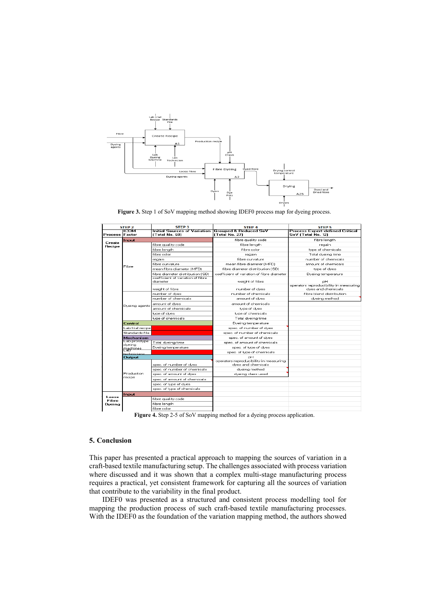

Figure 3. Step 1 of SoV mapping method showing IDEF0 process map for dyeing process.

| STEP <sub>2</sub>      |                         | <b>STEP 3</b>                                                          | <b>STEP 4</b>                                                | <b>STEP 5</b>                                                |
|------------------------|-------------------------|------------------------------------------------------------------------|--------------------------------------------------------------|--------------------------------------------------------------|
| Process Factor         | тсом                    | Initial Sources of Variation TGrouped & Reduced SoV<br>í Total No. 681 | <b>ITotal No. 271</b>                                        | <b>Process Expert-defined Critical</b><br>SoV (Total No. 12) |
| Create<br>Recipe       | Input                   |                                                                        | fibre quality code                                           | fibre length                                                 |
|                        | Fibre                   | fibre quality code                                                     | fibre lenath                                                 | regain                                                       |
|                        |                         | fibre lenath                                                           | fibre color                                                  | tupe of chemicals                                            |
|                        |                         | fibre color                                                            | regain                                                       | Total dveing time                                            |
|                        |                         | reaain                                                                 | fibre curvature                                              | number of chemicals                                          |
|                        |                         | fibre curvature.                                                       | mean fibre diameter (MFD)                                    | amount of chemicals.                                         |
|                        |                         | mean fibre diameter (MFD)                                              | fibre diameter distribution (SD)                             | type of dyes                                                 |
|                        |                         | fibre diameter distribution (SD)                                       | coefficient of variation of fibre diameter                   | Dueina temperature                                           |
|                        |                         | coefficient of variation of fibre.<br>diameter                         | weight of fibre                                              | pН                                                           |
|                        |                         | weight of fibre                                                        | number of dyes                                               | operators reproducibility in measuring<br>dves and chemicals |
|                        | Dyeing agents           | number of dves                                                         | pumber of chemicals.                                         | fibre blend distribution                                     |
|                        |                         | number of chemicals.                                                   | amount of dves                                               | dveina method                                                |
|                        |                         | amount of dyes                                                         | amount of chemicals.                                         |                                                              |
|                        |                         | amount of chemicals                                                    | type of dyes                                                 |                                                              |
|                        |                         | tupe of dues                                                           | tupe of chemicals                                            |                                                              |
|                        |                         | tupe of chemicals                                                      | Total dyeing time                                            |                                                              |
|                        | Control                 |                                                                        | Dyeing temperature                                           |                                                              |
|                        | Lab trial recipe        |                                                                        | spec, of number of dyes                                      |                                                              |
|                        | Standards file          |                                                                        | spec, of number of chemicals                                 |                                                              |
|                        | Mechanism               |                                                                        | spec, of amount of dves                                      |                                                              |
|                        | Lab prototype<br>dyeina | Total dyeing time                                                      | spec, of amount of chemicals                                 |                                                              |
|                        | machines                | Dveina temperature                                                     | spec, of tupe of dues                                        |                                                              |
|                        | technicians             |                                                                        | spec, of tupe of chemicals                                   |                                                              |
|                        | <b>Output</b>           |                                                                        | oН                                                           |                                                              |
|                        | Production<br>recipe    | spec, of number of dves                                                | operators reproducibility in measuring<br>dves and chemicals |                                                              |
|                        |                         | spec, of number of chemicals                                           | dyeing method                                                |                                                              |
|                        |                         | spec, of amount of dves                                                | dveina class used                                            |                                                              |
|                        |                         | spec, of amount of chemicals                                           |                                                              |                                                              |
|                        |                         | spec, of type of dyes                                                  |                                                              |                                                              |
|                        |                         | spec, of type of chemicals                                             |                                                              |                                                              |
|                        | Input                   |                                                                        |                                                              |                                                              |
| Loose.<br><b>Fibre</b> |                         | fibre quality code                                                     |                                                              |                                                              |
| Dveina                 |                         | fibre length                                                           |                                                              |                                                              |
|                        |                         | fibre color                                                            |                                                              |                                                              |
|                        |                         |                                                                        |                                                              |                                                              |

**Figure 4.** Step 2-5 of SoV mapping method for a dyeing process application.

# **5. Conclusion**

This paper has presented a practical approach to mapping the sources of variation in a craft-based textile manufacturing setup. The challenges associated with process variation where discussed and it was shown that a complex multi-stage manufacturing process requires a practical, yet consistent framework for capturing all the sources of variation that contribute to the variability in the final product.

IDEF0 was presented as a structured and consistent process modelling tool for mapping the production process of such craft-based textile manufacturing processes. With the IDEF0 as the foundation of the variation mapping method, the authors showed